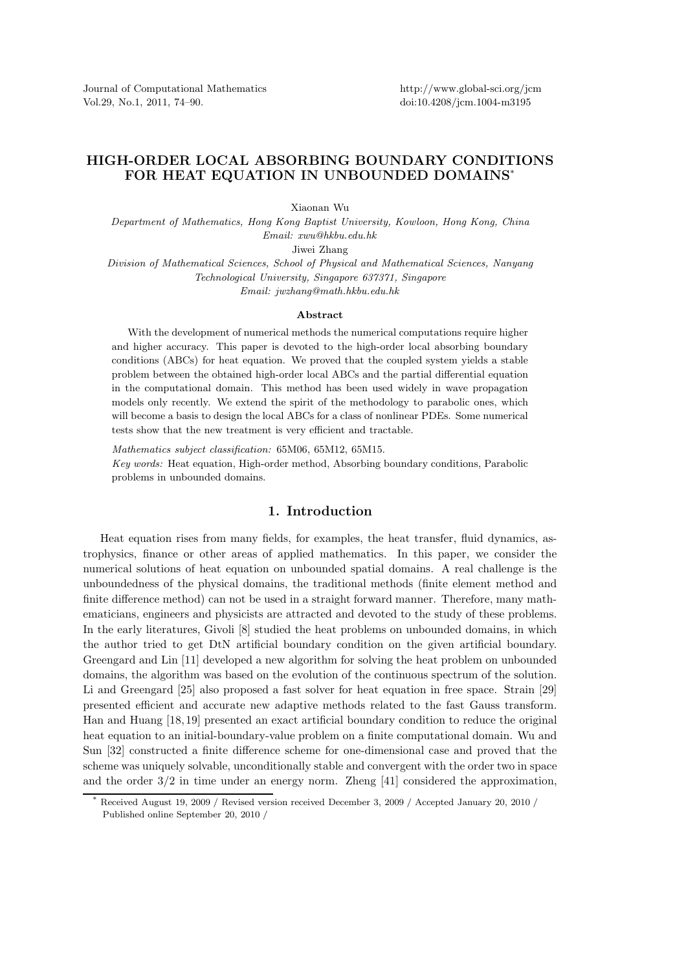Journal of Computational Mathematics Vol.29, No.1, 2011, 74–90.

http://www.global-sci.org/jcm doi:10.4208/jcm.1004-m3195

## HIGH-ORDER LOCAL ABSORBING BOUNDARY CONDITIONS FOR HEAT EQUATION IN UNBOUNDED DOMAINS\*

Xiaonan Wu

*Department of Mathematics, Hong Kong Baptist University, Kowloon, Hong Kong, China Email: xwu@hkbu.edu.hk*

Jiwei Zhang

*Division of Mathematical Sciences, School of Physical and Mathematical Sciences, Nanyang Technological University, Singapore 637371, Singapore Email: jwzhang@math.hkbu.edu.hk*

## Abstract

With the development of numerical methods the numerical computations require higher and higher accuracy. This paper is devoted to the high-order local absorbing boundary conditions (ABCs) for heat equation. We proved that the coupled system yields a stable problem between the obtained high-order local ABCs and the partial differential equation in the computational domain. This method has been used widely in wave propagation models only recently. We extend the spirit of the methodology to parabolic ones, which will become a basis to design the local ABCs for a class of nonlinear PDEs. Some numerical tests show that the new treatment is very efficient and tractable.

*Mathematics subject classification:* 65M06, 65M12, 65M15.

*Key words:* Heat equation, High-order method, Absorbing boundary conditions, Parabolic problems in unbounded domains.

## 1. Introduction

Heat equation rises from many fields, for examples, the heat transfer, fluid dynamics, astrophysics, finance or other areas of applied mathematics. In this paper, we consider the numerical solutions of heat equation on unbounded spatial domains. A real challenge is the unboundedness of the physical domains, the traditional methods (finite element method and finite difference method) can not be used in a straight forward manner. Therefore, many mathematicians, engineers and physicists are attracted and devoted to the study of these problems. In the early literatures, Givoli [8] studied the heat problems on unbounded domains, in which the author tried to get DtN artificial boundary condition on the given artificial boundary. Greengard and Lin [11] developed a new algorithm for solving the heat problem on unbounded domains, the algorithm was based on the evolution of the continuous spectrum of the solution. Li and Greengard [25] also proposed a fast solver for heat equation in free space. Strain [29] presented efficient and accurate new adaptive methods related to the fast Gauss transform. Han and Huang [18, 19] presented an exact artificial boundary condition to reduce the original heat equation to an initial-boundary-value problem on a finite computational domain. Wu and Sun [32] constructed a finite difference scheme for one-dimensional case and proved that the scheme was uniquely solvable, unconditionally stable and convergent with the order two in space and the order 3/2 in time under an energy norm. Zheng [41] considered the approximation,

Received August 19, 2009 / Revised version received December 3, 2009 / Accepted January 20, 2010 / Published online September 20, 2010 /